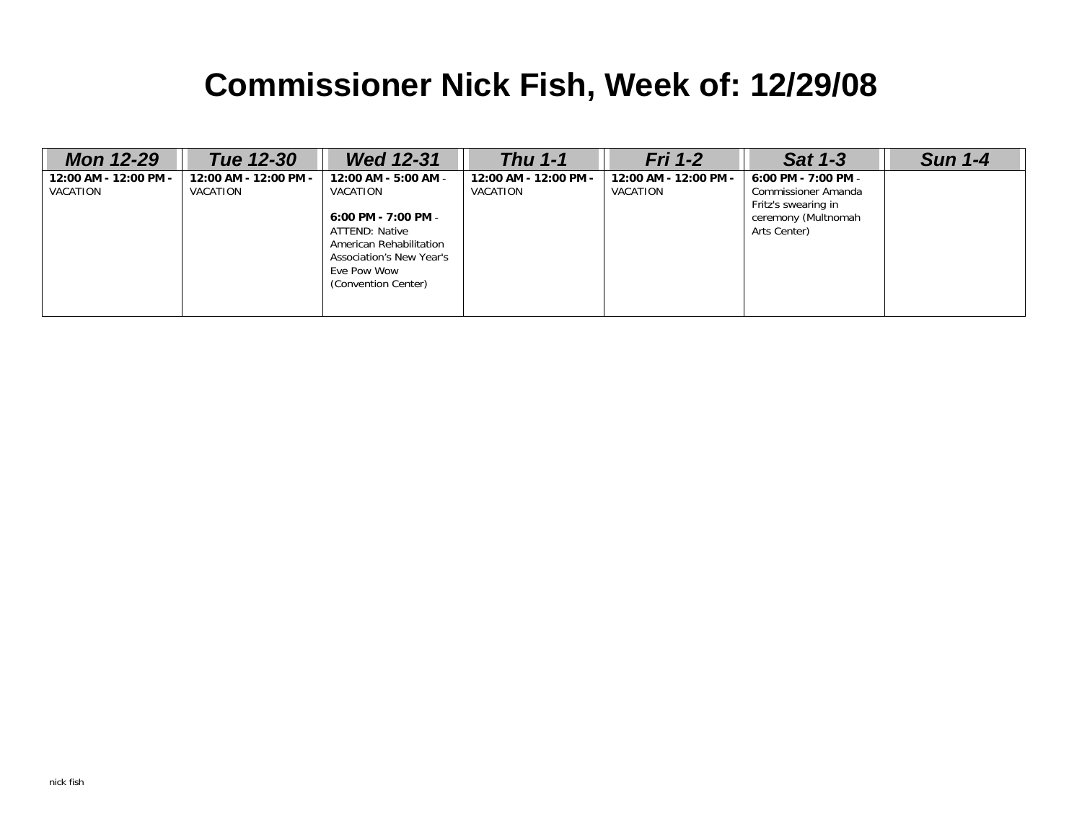# **Commissioner Nick Fish, Week of: 12/29/08**

| <b>Mon 12-29</b>                  | Tue 12-30                         | <b>Wed 12-31</b>                                                                                                                                                       | Thu $1-1$                         | <b>Fri 1-2</b>                    | <b>Sat 1-3</b>                                                                                           | <b>Sun 1-4</b> |
|-----------------------------------|-----------------------------------|------------------------------------------------------------------------------------------------------------------------------------------------------------------------|-----------------------------------|-----------------------------------|----------------------------------------------------------------------------------------------------------|----------------|
| 12:00 AM - 12:00 PM -<br>VACATION | 12:00 AM - 12:00 PM -<br>VACATION | 12:00 AM - 5:00 AM -<br>VACATION<br>6:00 PM - 7:00 PM -<br>ATTEND: Native<br>American Rehabilitation<br>Association's New Year's<br>Eve Pow Wow<br>(Convention Center) | 12:00 AM - 12:00 PM -<br>VACATION | 12:00 AM - 12:00 PM -<br>VACATION | 6:00 PM - 7:00 PM -<br>Commissioner Amanda<br>Fritz's swearing in<br>ceremony (Multnomah<br>Arts Center) |                |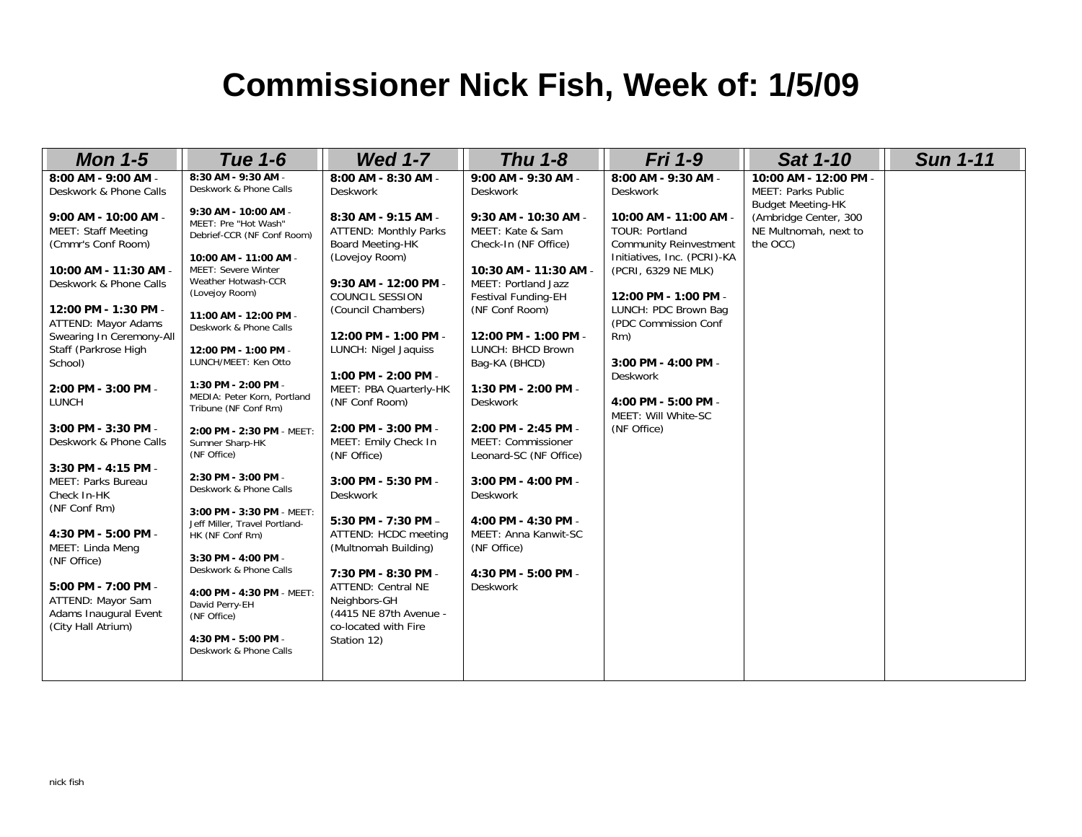### **Commissioner Nick Fish, Week of: 1/5/09**

| <b>Mon 1-5</b>                                                                                                                                                                                                                                                                                                                                                                                                                                                                                                                                                                                                      | <b>Tue 1-6</b>                                                                                                                                                                                                                                                                                                                                                                                                                                                                                                                                                                                                                                                                                                                                                         | <b>Wed 1-7</b>                                                                                                                                                                                                                                                                                                                                                                                                                                                                                                                                                                                                                                     | <b>Thu 1-8</b>                                                                                                                                                                                                                                                                                                                                                                                                                                                                                                                       | <b>Fri 1-9</b>                                                                                                                                                                                                                                                                                                                                                        | <b>Sat 1-10</b>                                                                                                                              | <b>Sun 1-11</b> |
|---------------------------------------------------------------------------------------------------------------------------------------------------------------------------------------------------------------------------------------------------------------------------------------------------------------------------------------------------------------------------------------------------------------------------------------------------------------------------------------------------------------------------------------------------------------------------------------------------------------------|------------------------------------------------------------------------------------------------------------------------------------------------------------------------------------------------------------------------------------------------------------------------------------------------------------------------------------------------------------------------------------------------------------------------------------------------------------------------------------------------------------------------------------------------------------------------------------------------------------------------------------------------------------------------------------------------------------------------------------------------------------------------|----------------------------------------------------------------------------------------------------------------------------------------------------------------------------------------------------------------------------------------------------------------------------------------------------------------------------------------------------------------------------------------------------------------------------------------------------------------------------------------------------------------------------------------------------------------------------------------------------------------------------------------------------|--------------------------------------------------------------------------------------------------------------------------------------------------------------------------------------------------------------------------------------------------------------------------------------------------------------------------------------------------------------------------------------------------------------------------------------------------------------------------------------------------------------------------------------|-----------------------------------------------------------------------------------------------------------------------------------------------------------------------------------------------------------------------------------------------------------------------------------------------------------------------------------------------------------------------|----------------------------------------------------------------------------------------------------------------------------------------------|-----------------|
| 8:00 AM - 9:00 AM -<br>Deskwork & Phone Calls<br>9:00 AM - 10:00 AM -<br><b>MEET: Staff Meeting</b><br>(Cmmr's Conf Room)<br>10:00 AM - 11:30 AM -<br>Deskwork & Phone Calls<br>12:00 PM - 1:30 PM -<br>ATTEND: Mayor Adams<br>Swearing In Ceremony-All<br>Staff (Parkrose High<br>School)<br>2:00 PM - 3:00 PM -<br><b>LUNCH</b><br>3:00 PM - 3:30 PM -<br>Deskwork & Phone Calls<br>3:30 PM - 4:15 PM -<br>MEET: Parks Bureau<br>Check In-HK<br>(NF Conf Rm)<br>4:30 PM - 5:00 PM -<br>MEET: Linda Meng<br>(NF Office)<br>5:00 PM - 7:00 PM -<br>ATTEND: Mayor Sam<br>Adams Inaugural Event<br>(City Hall Atrium) | 8:30 AM - 9:30 AM -<br>Deskwork & Phone Calls<br>9:30 AM - 10:00 AM -<br>MEET: Pre "Hot Wash"<br>Debrief-CCR (NF Conf Room)<br>10:00 AM - 11:00 AM -<br>MEET: Severe Winter<br>Weather Hotwash-CCR<br>(Lovejoy Room)<br>11:00 AM - 12:00 PM -<br>Deskwork & Phone Calls<br>12:00 PM - 1:00 PM -<br>LUNCH/MEET: Ken Otto<br>1:30 PM - 2:00 PM -<br>MEDIA: Peter Korn, Portland<br>Tribune (NF Conf Rm)<br>2:00 PM - 2:30 PM - MEET:<br>Sumner Sharp-HK<br>(NF Office)<br>2:30 PM - 3:00 PM -<br>Deskwork & Phone Calls<br>3:00 PM - 3:30 PM - MEET:<br>Jeff Miller, Travel Portland-<br>HK (NF Conf Rm)<br>3:30 PM - 4:00 PM -<br>Deskwork & Phone Calls<br>4:00 PM - 4:30 PM - MEET:<br>David Perry-EH<br>(NF Office)<br>4:30 PM - 5:00 PM -<br>Deskwork & Phone Calls | 8:00 AM - 8:30 AM -<br><b>Deskwork</b><br>8:30 AM - 9:15 AM -<br><b>ATTEND: Monthly Parks</b><br>Board Meeting-HK<br>(Lovejoy Room)<br>9:30 AM - 12:00 PM -<br><b>COUNCIL SESSION</b><br>(Council Chambers)<br>12:00 PM - 1:00 PM -<br>LUNCH: Nigel Jaquiss<br>1:00 PM - 2:00 PM -<br>MEET: PBA Quarterly-HK<br>(NF Conf Room)<br>2:00 PM - 3:00 PM -<br>MEET: Emily Check In<br>(NF Office)<br>3:00 PM - 5:30 PM -<br><b>Deskwork</b><br>5:30 PM - 7:30 PM -<br>ATTEND: HCDC meeting<br>(Multnomah Building)<br>7:30 PM - 8:30 PM -<br><b>ATTEND: Central NE</b><br>Neighbors-GH<br>(4415 NE 87th Avenue -<br>co-located with Fire<br>Station 12) | 9:00 AM - 9:30 AM -<br><b>Deskwork</b><br>9:30 AM - 10:30 AM -<br>MEET: Kate & Sam<br>Check-In (NF Office)<br>10:30 AM - 11:30 AM -<br>MEET: Portland Jazz<br>Festival Funding-EH<br>(NF Conf Room)<br>12:00 PM - 1:00 PM -<br>LUNCH: BHCD Brown<br>Bag-KA (BHCD)<br>1:30 PM - 2:00 PM -<br><b>Deskwork</b><br>2:00 PM - 2:45 PM -<br>MEET: Commissioner<br>Leonard-SC (NF Office)<br>3:00 PM - 4:00 PM -<br><b>Deskwork</b><br>4:00 PM - 4:30 PM -<br>MEET: Anna Kanwit-SC<br>(NF Office)<br>4:30 PM - 5:00 PM -<br><b>Deskwork</b> | 8:00 AM - 9:30 AM -<br><b>Deskwork</b><br>10:00 AM - 11:00 AM -<br><b>TOUR: Portland</b><br><b>Community Reinvestment</b><br>Initiatives, Inc. (PCRI)-KA<br>(PCRI, 6329 NE MLK)<br>12:00 PM - 1:00 PM -<br>LUNCH: PDC Brown Bag<br>(PDC Commission Conf<br>Rm)<br>3:00 PM - 4:00 PM -<br><b>Deskwork</b><br>4:00 PM - 5:00 PM -<br>MEET: Will White-SC<br>(NF Office) | 10:00 AM - 12:00 PM -<br><b>MEET: Parks Public</b><br><b>Budget Meeting-HK</b><br>(Ambridge Center, 300<br>NE Multnomah, next to<br>the OCC) |                 |
|                                                                                                                                                                                                                                                                                                                                                                                                                                                                                                                                                                                                                     |                                                                                                                                                                                                                                                                                                                                                                                                                                                                                                                                                                                                                                                                                                                                                                        |                                                                                                                                                                                                                                                                                                                                                                                                                                                                                                                                                                                                                                                    |                                                                                                                                                                                                                                                                                                                                                                                                                                                                                                                                      |                                                                                                                                                                                                                                                                                                                                                                       |                                                                                                                                              |                 |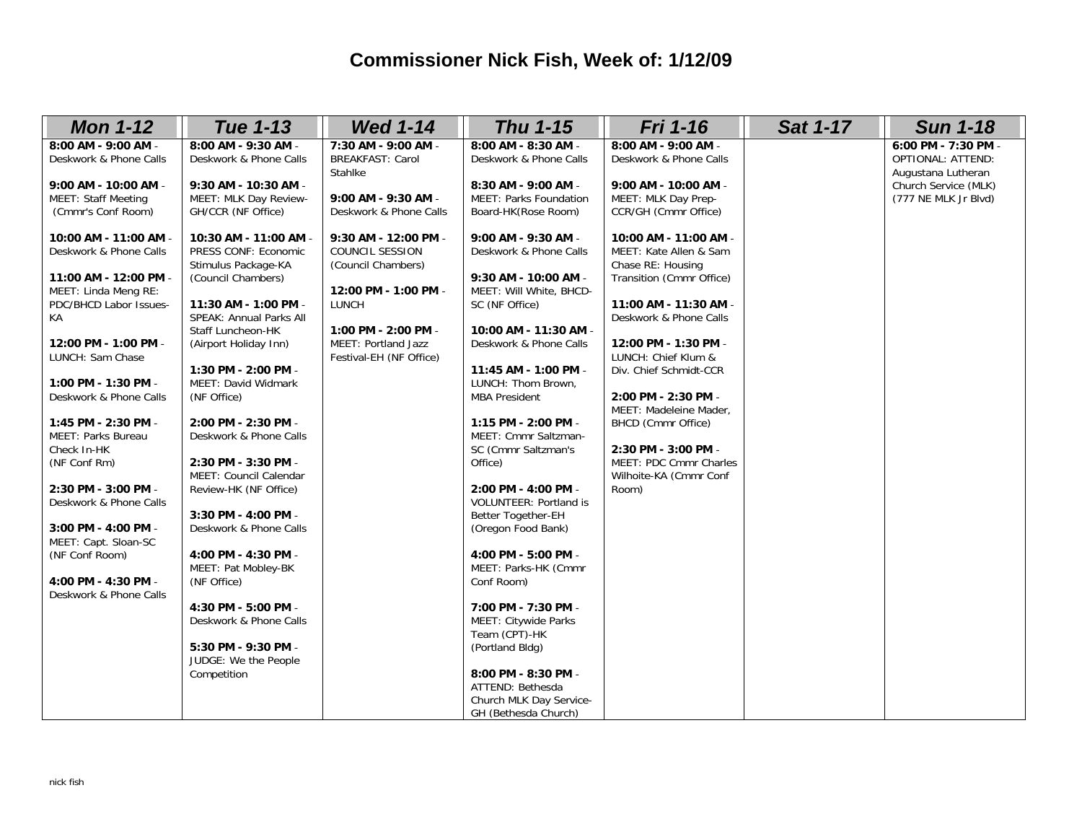#### **Commissioner Nick Fish, Week of: 1/12/09**

| <b>Mon 1-12</b>                                                          | <b>Tue 1-13</b>                                                        | <b>Wed 1-14</b>                                                      | <b>Thu 1-15</b>                                                             | <b>Fri 1-16</b>                                                      | <b>Sat 1-17</b> | <b>Sun 1-18</b>                                                       |
|--------------------------------------------------------------------------|------------------------------------------------------------------------|----------------------------------------------------------------------|-----------------------------------------------------------------------------|----------------------------------------------------------------------|-----------------|-----------------------------------------------------------------------|
| 8:00 AM - 9:00 AM -<br>Deskwork & Phone Calls                            | 8:00 AM - 9:30 AM -<br>Deskwork & Phone Calls                          | 7:30 AM - 9:00 AM -<br><b>BREAKFAST: Carol</b><br>Stahlke            | 8:00 AM - 8:30 AM -<br>Deskwork & Phone Calls                               | 8:00 AM - 9:00 AM -<br>Deskwork & Phone Calls                        |                 | 6:00 PM - 7:30 PM -<br><b>OPTIONAL: ATTEND:</b><br>Augustana Lutheran |
| 9:00 AM - 10:00 AM -<br><b>MEET: Staff Meeting</b><br>(Cmmr's Conf Room) | 9:30 AM - 10:30 AM -<br>MEET: MLK Day Review-<br>GH/CCR (NF Office)    | 9:00 AM - 9:30 AM -<br>Deskwork & Phone Calls                        | 8:30 AM - 9:00 AM -<br><b>MEET: Parks Foundation</b><br>Board-HK(Rose Room) | 9:00 AM - 10:00 AM -<br>MEET: MLK Day Prep-<br>CCR/GH (Cmmr Office)  |                 | Church Service (MLK)<br>(777 NE MLK Jr Blvd)                          |
| 10:00 AM - 11:00 AM -<br>Deskwork & Phone Calls                          | 10:30 AM - 11:00 AM -<br>PRESS CONF: Economic<br>Stimulus Package-KA   | 9:30 AM - 12:00 PM -<br><b>COUNCIL SESSION</b><br>(Council Chambers) | 9:00 AM - 9:30 AM -<br>Deskwork & Phone Calls                               | 10:00 AM - 11:00 AM -<br>MEET: Kate Allen & Sam<br>Chase RE: Housing |                 |                                                                       |
| 11:00 AM - 12:00 PM -<br>MEET: Linda Meng RE:<br>PDC/BHCD Labor Issues-  | (Council Chambers)<br>11:30 AM - 1:00 PM -                             | 12:00 PM - 1:00 PM -<br>LUNCH                                        | 9:30 AM - 10:00 AM -<br>MEET: Will White, BHCD-<br>SC (NF Office)           | Transition (Cmmr Office)<br>11:00 AM - 11:30 AM -                    |                 |                                                                       |
| KA<br>12:00 PM - 1:00 PM -                                               | SPEAK: Annual Parks All<br>Staff Luncheon-HK<br>(Airport Holiday Inn)  | 1:00 PM - 2:00 PM -<br>MEET: Portland Jazz                           | 10:00 AM - 11:30 AM -<br>Deskwork & Phone Calls                             | Deskwork & Phone Calls<br>12:00 PM - 1:30 PM -                       |                 |                                                                       |
| LUNCH: Sam Chase                                                         | 1:30 PM - 2:00 PM -                                                    | Festival-EH (NF Office)                                              | 11:45 AM - 1:00 PM -                                                        | LUNCH: Chief Klum &<br>Div. Chief Schmidt-CCR                        |                 |                                                                       |
| 1:00 PM - 1:30 PM -<br>Deskwork & Phone Calls                            | MEET: David Widmark<br>(NF Office)                                     |                                                                      | LUNCH: Thom Brown,<br><b>MBA President</b>                                  | 2:00 PM - 2:30 PM -<br>MEET: Madeleine Mader,                        |                 |                                                                       |
| 1:45 PM - 2:30 PM -<br>MEET: Parks Bureau<br>Check In-HK                 | 2:00 PM - 2:30 PM -<br>Deskwork & Phone Calls                          |                                                                      | 1:15 PM - 2:00 PM -<br>MEET: Cmmr Saltzman-<br>SC (Cmmr Saltzman's          | BHCD (Cmmr Office)<br>2:30 PM - 3:00 PM -                            |                 |                                                                       |
| (NF Conf Rm)<br>2:30 PM - 3:00 PM -                                      | 2:30 PM - 3:30 PM -<br>MEET: Council Calendar<br>Review-HK (NF Office) |                                                                      | Office)<br>2:00 PM - 4:00 PM -                                              | MEET: PDC Cmmr Charles<br>Wilhoite-KA (Cmmr Conf<br>Room)            |                 |                                                                       |
| Deskwork & Phone Calls<br>3:00 PM - 4:00 PM -                            | 3:30 PM - 4:00 PM -<br>Deskwork & Phone Calls                          |                                                                      | <b>VOLUNTEER: Portland is</b><br>Better Together-EH<br>(Oregon Food Bank)   |                                                                      |                 |                                                                       |
| MEET: Capt. Sloan-SC<br>(NF Conf Room)                                   | 4:00 PM - 4:30 PM -<br>MEET: Pat Mobley-BK                             |                                                                      | 4:00 PM - 5:00 PM -<br>MEET: Parks-HK (Cmmr                                 |                                                                      |                 |                                                                       |
| 4:00 PM - 4:30 PM -<br>Deskwork & Phone Calls                            | (NF Office)<br>4:30 PM - 5:00 PM -                                     |                                                                      | Conf Room)<br>7:00 PM - 7:30 PM -                                           |                                                                      |                 |                                                                       |
|                                                                          | Deskwork & Phone Calls                                                 |                                                                      | MEET: Citywide Parks<br>Team (CPT)-HK                                       |                                                                      |                 |                                                                       |
|                                                                          | 5:30 PM - 9:30 PM -<br>JUDGE: We the People<br>Competition             |                                                                      | (Portland Bldg)<br>8:00 PM - 8:30 PM -                                      |                                                                      |                 |                                                                       |
|                                                                          |                                                                        |                                                                      | ATTEND: Bethesda<br>Church MLK Day Service-<br>GH (Bethesda Church)         |                                                                      |                 |                                                                       |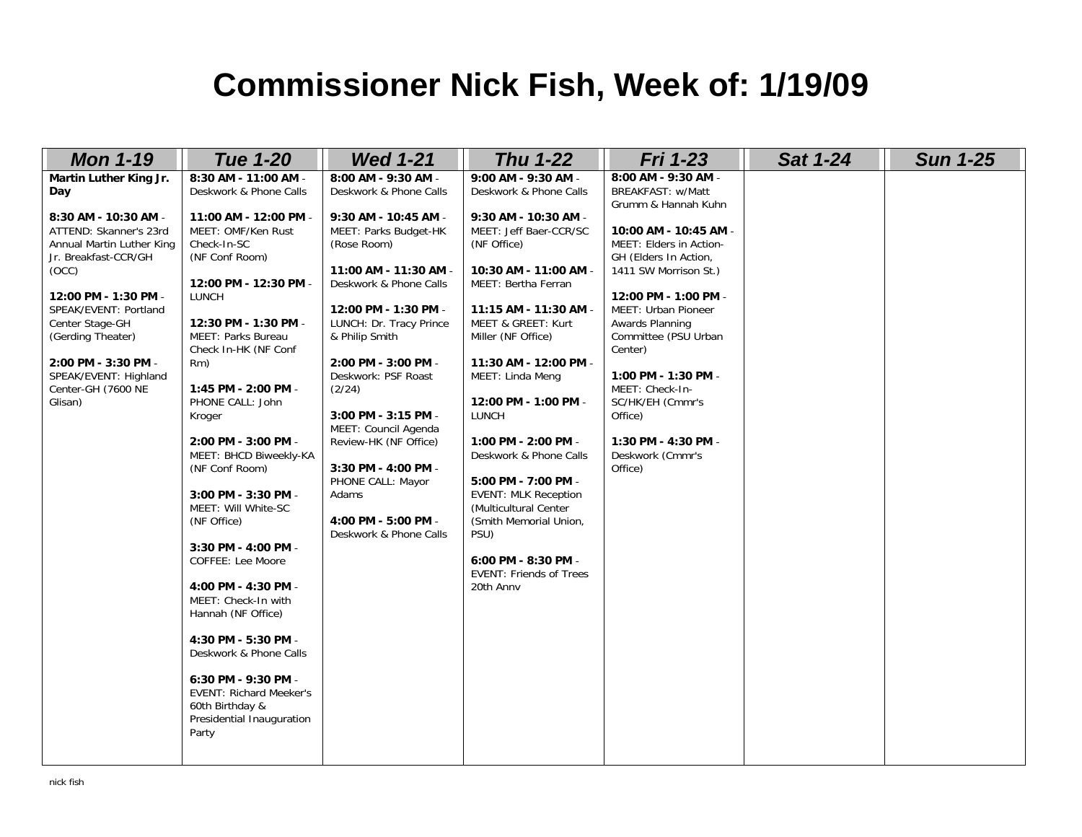## **Commissioner Nick Fish, Week of: 1/19/09**

| <b>Mon 1-19</b>                                                                                                                                                                                                                                                                                                         | <b>Tue 1-20</b>                                                                                                                                                                                                                                                                                                                                                                                                           | <b>Wed 1-21</b>                                                                                                                                                                                                                                                                               | <b>Thu 1-22</b>                                                                                                                                                                                                                                                                                          | <b>Fri 1-23</b>                                                                                                                                                                                                                                                                                                                                 | <b>Sat 1-24</b> | <b>Sun 1-25</b> |
|-------------------------------------------------------------------------------------------------------------------------------------------------------------------------------------------------------------------------------------------------------------------------------------------------------------------------|---------------------------------------------------------------------------------------------------------------------------------------------------------------------------------------------------------------------------------------------------------------------------------------------------------------------------------------------------------------------------------------------------------------------------|-----------------------------------------------------------------------------------------------------------------------------------------------------------------------------------------------------------------------------------------------------------------------------------------------|----------------------------------------------------------------------------------------------------------------------------------------------------------------------------------------------------------------------------------------------------------------------------------------------------------|-------------------------------------------------------------------------------------------------------------------------------------------------------------------------------------------------------------------------------------------------------------------------------------------------------------------------------------------------|-----------------|-----------------|
| Martin Luther King Jr.<br>Day<br>8:30 AM - 10:30 AM -<br>ATTEND: Skanner's 23rd<br>Annual Martin Luther King<br>Jr. Breakfast-CCR/GH<br>(OCC)<br>12:00 PM - 1:30 PM -<br>SPEAK/EVENT: Portland<br>Center Stage-GH<br>(Gerding Theater)<br>2:00 PM - 3:30 PM -<br>SPEAK/EVENT: Highland<br>Center-GH (7600 NE<br>Glisan) | 8:30 AM - 11:00 AM -<br>Deskwork & Phone Calls<br>11:00 AM - 12:00 PM -<br>MEET: OMF/Ken Rust<br>Check-In-SC<br>(NF Conf Room)<br>12:00 PM - 12:30 PM -<br>LUNCH<br>12:30 PM - 1:30 PM -<br>MEET: Parks Bureau<br>Check In-HK (NF Conf<br>Rm)<br>1:45 PM - 2:00 PM -<br>PHONE CALL: John                                                                                                                                  | 8:00 AM - 9:30 AM -<br>Deskwork & Phone Calls<br>9:30 AM - 10:45 AM -<br>MEET: Parks Budget-HK<br>(Rose Room)<br>11:00 AM - 11:30 AM -<br>Deskwork & Phone Calls<br>12:00 PM - 1:30 PM -<br>LUNCH: Dr. Tracy Prince<br>& Philip Smith<br>2:00 PM - 3:00 PM -<br>Deskwork: PSF Roast<br>(2/24) | 9:00 AM - 9:30 AM -<br>Deskwork & Phone Calls<br>9:30 AM - 10:30 AM -<br>MEET: Jeff Baer-CCR/SC<br>(NF Office)<br>10:30 AM - 11:00 AM -<br>MEET: Bertha Ferran<br>11:15 AM - 11:30 AM -<br>MEET & GREET: Kurt<br>Miller (NF Office)<br>11:30 AM - 12:00 PM -<br>MEET: Linda Meng<br>12:00 PM - 1:00 PM - | 8:00 AM - 9:30 AM -<br><b>BREAKFAST: w/Matt</b><br>Grumm & Hannah Kuhn<br>10:00 AM - 10:45 AM -<br>MEET: Elders in Action-<br>GH (Elders In Action,<br>1411 SW Morrison St.)<br>12:00 PM - 1:00 PM -<br>MEET: Urban Pioneer<br>Awards Planning<br>Committee (PSU Urban<br>Center)<br>1:00 PM - 1:30 PM -<br>MEET: Check-In-<br>SC/HK/EH (Cmmr's |                 |                 |
|                                                                                                                                                                                                                                                                                                                         | Kroger<br>2:00 PM - 3:00 PM -<br>MEET: BHCD Biweekly-KA<br>(NF Conf Room)<br>3:00 PM - 3:30 PM -<br>MEET: Will White-SC<br>(NF Office)<br>3:30 PM - 4:00 PM -<br>COFFEE: Lee Moore<br>4:00 PM - 4:30 PM -<br>MEET: Check-In with<br>Hannah (NF Office)<br>4:30 PM - 5:30 PM -<br>Deskwork & Phone Calls<br>6:30 PM - 9:30 PM -<br><b>EVENT: Richard Meeker's</b><br>60th Birthday &<br>Presidential Inauguration<br>Party | 3:00 PM - 3:15 PM -<br>MEET: Council Agenda<br>Review-HK (NF Office)<br>3:30 PM - 4:00 PM -<br>PHONE CALL: Mayor<br>Adams<br>4:00 PM - 5:00 PM -<br>Deskwork & Phone Calls                                                                                                                    | <b>LUNCH</b><br>1:00 PM - 2:00 PM -<br>Deskwork & Phone Calls<br>5:00 PM - 7:00 PM -<br><b>EVENT: MLK Reception</b><br>(Multicultural Center<br>(Smith Memorial Union,<br>PSU)<br>6:00 PM - 8:30 PM -<br><b>EVENT: Friends of Trees</b><br>20th Anny                                                     | Office)<br>1:30 PM - 4:30 PM -<br>Deskwork (Cmmr's<br>Office)                                                                                                                                                                                                                                                                                   |                 |                 |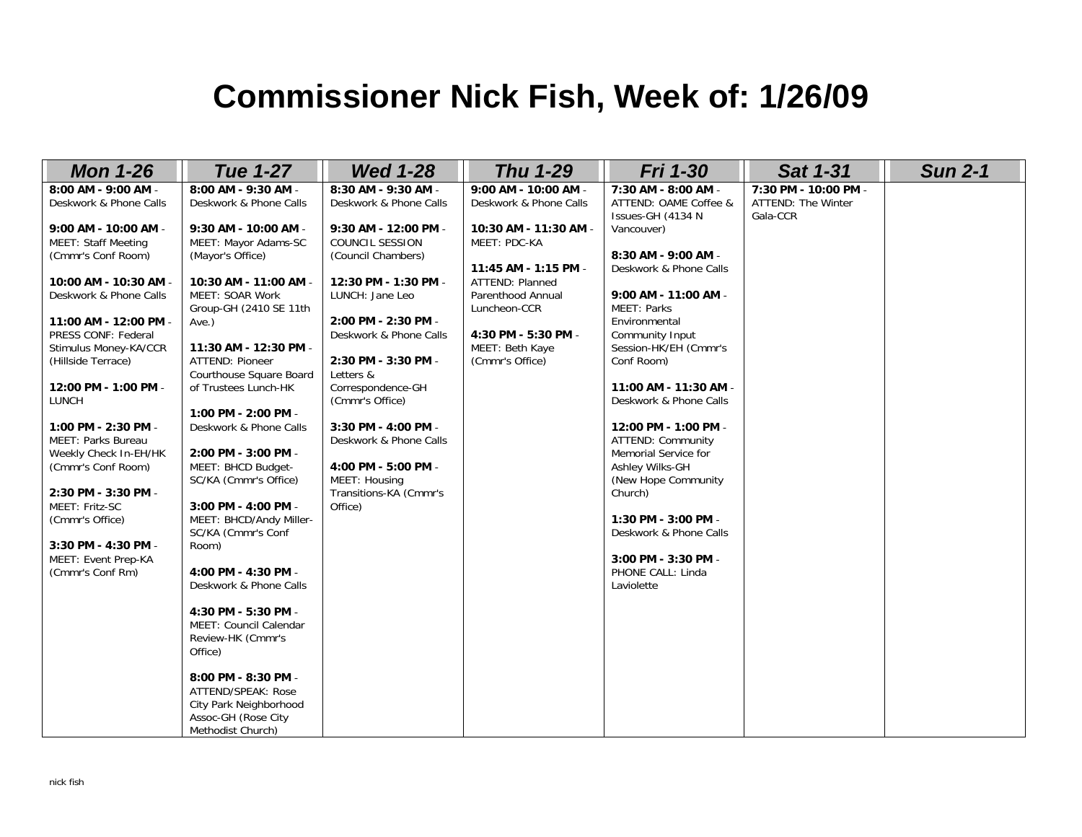## **Commissioner Nick Fish, Week of: 1/26/09**

| <b>Mon 1-26</b>                                    | <b>Tue 1-27</b>         | <b>Wed 1-28</b>        | <b>Thu 1-29</b>        | <b>Fri 1-30</b>                           | <b>Sat 1-31</b>      | <b>Sun 2-1</b> |
|----------------------------------------------------|-------------------------|------------------------|------------------------|-------------------------------------------|----------------------|----------------|
| 8:00 AM - 9:00 AM -                                | 8:00 AM - 9:30 AM -     | 8:30 AM - 9:30 AM -    | 9:00 AM - 10:00 AM -   | 7:30 AM - 8:00 AM -                       | 7:30 PM - 10:00 PM - |                |
| Deskwork & Phone Calls                             | Deskwork & Phone Calls  | Deskwork & Phone Calls | Deskwork & Phone Calls | ATTEND: OAME Coffee &                     | ATTEND: The Winter   |                |
|                                                    |                         |                        |                        | Issues-GH (4134 N                         | Gala-CCR             |                |
| 9:00 AM - 10:00 AM -                               | 9:30 AM - 10:00 AM -    | 9:30 AM - 12:00 PM -   | 10:30 AM - 11:30 AM -  | Vancouver)                                |                      |                |
| <b>MEET: Staff Meeting</b>                         | MEET: Mayor Adams-SC    | COUNCIL SESSION        | MEET: PDC-KA           |                                           |                      |                |
| (Cmmr's Conf Room)                                 | (Mayor's Office)        | (Council Chambers)     |                        | 8:30 AM - 9:00 AM -                       |                      |                |
|                                                    |                         |                        | 11:45 AM - 1:15 PM -   | Deskwork & Phone Calls                    |                      |                |
| 10:00 AM - 10:30 AM -                              | 10:30 AM - 11:00 AM -   | 12:30 PM - 1:30 PM -   | <b>ATTEND: Planned</b> |                                           |                      |                |
| Deskwork & Phone Calls                             | <b>MEET: SOAR Work</b>  | LUNCH: Jane Leo        | Parenthood Annual      | 9:00 AM - 11:00 AM -                      |                      |                |
|                                                    | Group-GH (2410 SE 11th  |                        | Luncheon-CCR           | <b>MEET: Parks</b>                        |                      |                |
| 11:00 AM - 12:00 PM -                              | $Ave.$ )                | 2:00 PM - 2:30 PM -    |                        | Environmental                             |                      |                |
| PRESS CONF: Federal                                |                         | Deskwork & Phone Calls | 4:30 PM - 5:30 PM -    | Community Input                           |                      |                |
| Stimulus Money-KA/CCR                              | 11:30 AM - 12:30 PM -   |                        | MEET: Beth Kaye        | Session-HK/EH (Cmmr's                     |                      |                |
| (Hillside Terrace)                                 | ATTEND: Pioneer         | 2:30 PM - 3:30 PM -    | (Cmmr's Office)        | Conf Room)                                |                      |                |
|                                                    | Courthouse Square Board | Letters &              |                        |                                           |                      |                |
| 12:00 PM - 1:00 PM -                               | of Trustees Lunch-HK    | Correspondence-GH      |                        | 11:00 AM - 11:30 AM -                     |                      |                |
| LUNCH                                              |                         | (Cmmr's Office)        |                        | Deskwork & Phone Calls                    |                      |                |
|                                                    | 1:00 PM - 2:00 PM -     | 3:30 PM - 4:00 PM -    |                        |                                           |                      |                |
| 1:00 PM - 2:30 PM -                                | Deskwork & Phone Calls  |                        |                        | 12:00 PM - 1:00 PM -                      |                      |                |
| <b>MEET: Parks Bureau</b><br>Weekly Check In-EH/HK | 2:00 PM - 3:00 PM -     | Deskwork & Phone Calls |                        | ATTEND: Community<br>Memorial Service for |                      |                |
| (Cmmr's Conf Room)                                 | MEET: BHCD Budget-      | 4:00 PM - 5:00 PM -    |                        | Ashley Wilks-GH                           |                      |                |
|                                                    | SC/KA (Cmmr's Office)   | MEET: Housing          |                        | (New Hope Community)                      |                      |                |
| 2:30 PM - 3:30 PM -                                |                         | Transitions-KA (Cmmr's |                        | Church)                                   |                      |                |
| MEET: Fritz-SC                                     | 3:00 PM - 4:00 PM -     | Office)                |                        |                                           |                      |                |
| (Cmmr's Office)                                    | MEET: BHCD/Andy Miller- |                        |                        | 1:30 PM - 3:00 PM -                       |                      |                |
|                                                    | SC/KA (Cmmr's Conf      |                        |                        | Deskwork & Phone Calls                    |                      |                |
| 3:30 PM - 4:30 PM -                                | Room)                   |                        |                        |                                           |                      |                |
| MEET: Event Prep-KA                                |                         |                        |                        | 3:00 PM - 3:30 PM -                       |                      |                |
| (Cmmr's Conf Rm)                                   | 4:00 PM - 4:30 PM -     |                        |                        | PHONE CALL: Linda                         |                      |                |
|                                                    | Deskwork & Phone Calls  |                        |                        | Laviolette                                |                      |                |
|                                                    |                         |                        |                        |                                           |                      |                |
|                                                    | 4:30 PM - 5:30 PM -     |                        |                        |                                           |                      |                |
|                                                    | MEET: Council Calendar  |                        |                        |                                           |                      |                |
|                                                    | Review-HK (Cmmr's       |                        |                        |                                           |                      |                |
|                                                    | Office)                 |                        |                        |                                           |                      |                |
|                                                    |                         |                        |                        |                                           |                      |                |
|                                                    | 8:00 PM - 8:30 PM -     |                        |                        |                                           |                      |                |
|                                                    | ATTEND/SPEAK: Rose      |                        |                        |                                           |                      |                |
|                                                    | City Park Neighborhood  |                        |                        |                                           |                      |                |
|                                                    | Assoc-GH (Rose City     |                        |                        |                                           |                      |                |
|                                                    | Methodist Church)       |                        |                        |                                           |                      |                |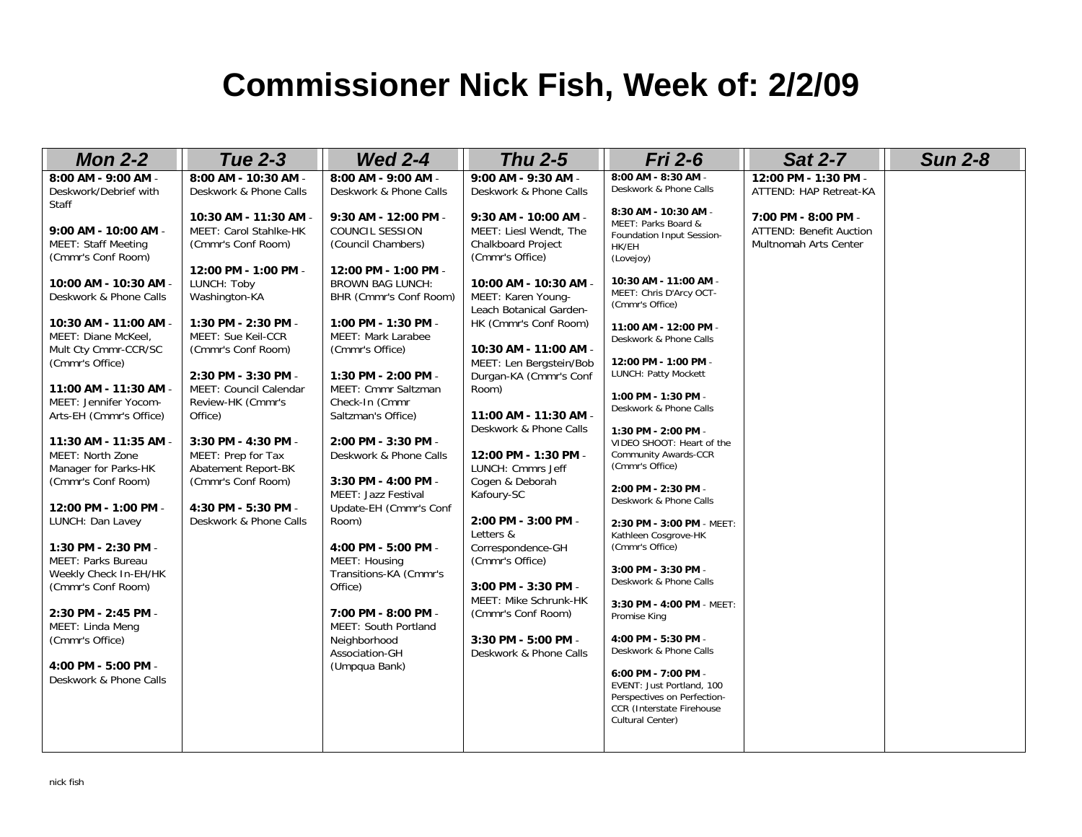### **Commissioner Nick Fish, Week of: 2/2/09**

| <b>Mon 2-2</b>                                     | <b>Tue 2-3</b>                                | <b>Wed 2-4</b>                             | <b>Thu 2-5</b>                               | <b>Fri 2-6</b>                                           | <b>Sat 2-7</b>                 | <b>Sun 2-8</b> |
|----------------------------------------------------|-----------------------------------------------|--------------------------------------------|----------------------------------------------|----------------------------------------------------------|--------------------------------|----------------|
| 8:00 AM - 9:00 AM -                                | 8:00 AM - 10:30 AM -                          | 8:00 AM - 9:00 AM -                        | 9:00 AM - 9:30 AM -                          | 8:00 AM - 8:30 AM -                                      | 12:00 PM - 1:30 PM -           |                |
| Deskwork/Debrief with                              | Deskwork & Phone Calls                        | Deskwork & Phone Calls                     | Deskwork & Phone Calls                       | Deskwork & Phone Calls                                   | ATTEND: HAP Retreat-KA         |                |
| Staff                                              |                                               |                                            |                                              | 8:30 AM - 10:30 AM -                                     |                                |                |
|                                                    | 10:30 AM - 11:30 AM -                         | 9:30 AM - 12:00 PM -                       | 9:30 AM - 10:00 AM -                         | MEET: Parks Board &                                      | 7:00 PM - 8:00 PM -            |                |
| 9:00 AM - 10:00 AM -<br><b>MEET: Staff Meeting</b> | MEET: Carol Stahlke-HK<br>(Cmmr's Conf Room)  | <b>COUNCIL SESSION</b>                     | MEET: Liesl Wendt, The                       | Foundation Input Session-                                | <b>ATTEND: Benefit Auction</b> |                |
| (Cmmr's Conf Room)                                 |                                               | (Council Chambers)                         | <b>Chalkboard Project</b><br>(Cmmr's Office) | HK/EH                                                    | Multnomah Arts Center          |                |
|                                                    | 12:00 PM - 1:00 PM -                          | 12:00 PM - 1:00 PM -                       |                                              | (Lovejoy)                                                |                                |                |
| 10:00 AM - 10:30 AM -                              | LUNCH: Toby                                   | <b>BROWN BAG LUNCH:</b>                    | 10:00 AM - 10:30 AM -                        | 10:30 AM - 11:00 AM -                                    |                                |                |
| Deskwork & Phone Calls                             | Washington-KA                                 | BHR (Cmmr's Conf Room)                     | MEET: Karen Young-                           | MEET: Chris D'Arcy OCT-                                  |                                |                |
|                                                    |                                               |                                            | Leach Botanical Garden-                      | (Cmmr's Office)                                          |                                |                |
| 10:30 AM - 11:00 AM -                              | 1:30 PM - 2:30 PM -                           | 1:00 PM - 1:30 PM -                        | HK (Cmmr's Conf Room)                        | 11:00 AM - 12:00 PM -                                    |                                |                |
| MEET: Diane McKeel,                                | MEET: Sue Keil-CCR                            | MEET: Mark Larabee                         |                                              | Deskwork & Phone Calls                                   |                                |                |
| Mult Cty Cmmr-CCR/SC                               | (Cmmr's Conf Room)                            | (Cmmr's Office)                            | 10:30 AM - 11:00 AM -                        |                                                          |                                |                |
| (Cmmr's Office)                                    |                                               |                                            | MEET: Len Bergstein/Bob                      | 12:00 PM - 1:00 PM -<br>LUNCH: Patty Mockett             |                                |                |
|                                                    | 2:30 PM - 3:30 PM -<br>MEET: Council Calendar | 1:30 PM - 2:00 PM -<br>MEET: Cmmr Saltzman | Durgan-KA (Cmmr's Conf                       |                                                          |                                |                |
| 11:00 AM - 11:30 AM -<br>MEET: Jennifer Yocom-     | Review-HK (Cmmr's                             | Check-In (Cmmr                             | Room)                                        | 1:00 PM - 1:30 PM -                                      |                                |                |
| Arts-EH (Cmmr's Office)                            | Office)                                       | Saltzman's Office)                         | 11:00 AM - 11:30 AM -                        | Deskwork & Phone Calls                                   |                                |                |
|                                                    |                                               |                                            | Deskwork & Phone Calls                       | 1:30 PM - 2:00 PM -                                      |                                |                |
| 11:30 AM - 11:35 AM -                              | 3:30 PM - 4:30 PM -                           | 2:00 PM - 3:30 PM -                        |                                              | VIDEO SHOOT: Heart of the                                |                                |                |
| MEET: North Zone                                   | MEET: Prep for Tax                            | Deskwork & Phone Calls                     | 12:00 PM - 1:30 PM -                         | <b>Community Awards-CCR</b>                              |                                |                |
| Manager for Parks-HK                               | Abatement Report-BK                           |                                            | LUNCH: Cmmrs Jeff                            | (Cmmr's Office)                                          |                                |                |
| (Cmmr's Conf Room)                                 | (Cmmr's Conf Room)                            | 3:30 PM - 4:00 PM -                        | Cogen & Deborah                              | 2:00 PM - 2:30 PM -                                      |                                |                |
|                                                    |                                               | <b>MEET: Jazz Festival</b>                 | Kafoury-SC                                   | Deskwork & Phone Calls                                   |                                |                |
| 12:00 PM - 1:00 PM -                               | 4:30 PM - 5:30 PM -                           | Update-EH (Cmmr's Conf                     |                                              |                                                          |                                |                |
| LUNCH: Dan Lavey                                   | Deskwork & Phone Calls                        | Room)                                      | 2:00 PM - 3:00 PM -                          | 2:30 PM - 3:00 PM - MEET:                                |                                |                |
| 1:30 PM - 2:30 PM -                                |                                               | 4:00 PM - 5:00 PM -                        | Letters &<br>Correspondence-GH               | Kathleen Cosgrove-HK<br>(Cmmr's Office)                  |                                |                |
| MEET: Parks Bureau                                 |                                               | MEET: Housing                              | (Cmmr's Office)                              |                                                          |                                |                |
| Weekly Check In-EH/HK                              |                                               | Transitions-KA (Cmmr's                     |                                              | 3:00 PM - 3:30 PM -                                      |                                |                |
| (Cmmr's Conf Room)                                 |                                               | Office)                                    | 3:00 PM - 3:30 PM -                          | Deskwork & Phone Calls                                   |                                |                |
|                                                    |                                               |                                            | MEET: Mike Schrunk-HK                        | 3:30 PM - 4:00 PM - MEET:                                |                                |                |
| 2:30 PM - 2:45 PM -                                |                                               | 7:00 PM - 8:00 PM -                        | (Cmmr's Conf Room)                           | Promise King                                             |                                |                |
| MEET: Linda Meng                                   |                                               | MEET: South Portland                       |                                              |                                                          |                                |                |
| (Cmmr's Office)                                    |                                               | Neighborhood                               | 3:30 PM - 5:00 PM -                          | 4:00 PM - 5:30 PM -                                      |                                |                |
|                                                    |                                               | Association-GH                             | Deskwork & Phone Calls                       | Deskwork & Phone Calls                                   |                                |                |
| 4:00 PM - 5:00 PM -<br>Deskwork & Phone Calls      |                                               | (Umpqua Bank)                              |                                              | 6:00 PM - 7:00 PM -                                      |                                |                |
|                                                    |                                               |                                            |                                              | EVENT: Just Portland, 100                                |                                |                |
|                                                    |                                               |                                            |                                              | Perspectives on Perfection-<br>CCR (Interstate Firehouse |                                |                |
|                                                    |                                               |                                            |                                              | Cultural Center)                                         |                                |                |
|                                                    |                                               |                                            |                                              |                                                          |                                |                |
|                                                    |                                               |                                            |                                              |                                                          |                                |                |